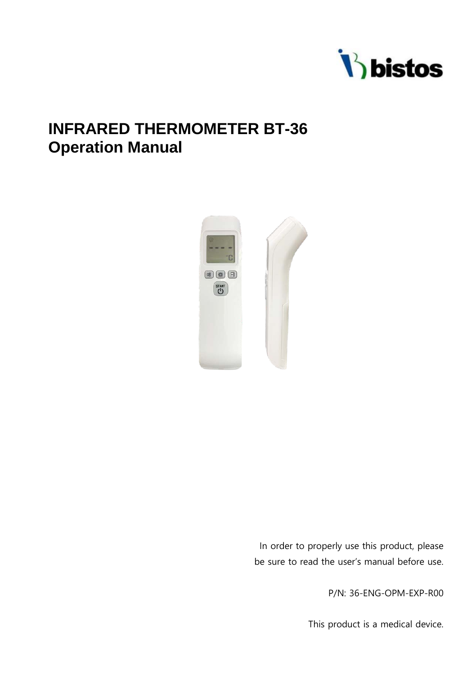

# **INFRARED THERMOMETER BT-36 Operation Manual**



In order to properly use this product, please be sure to read the user's manual before use.

P/N: 36-ENG-OPM-EXP-R00

This product is a medical device.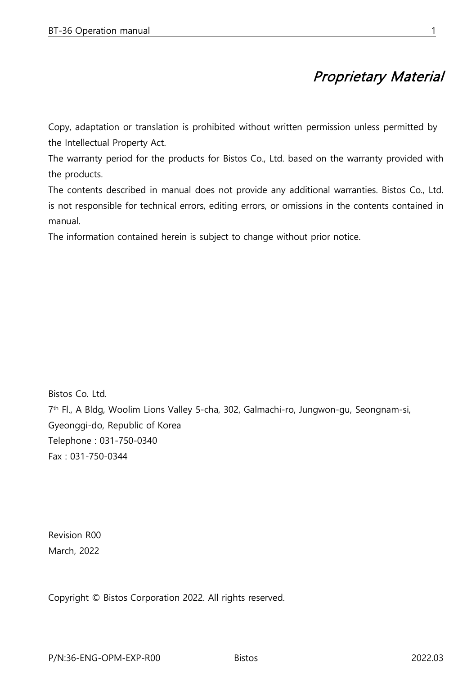# Proprietary Material

Copy, adaptation or translation is prohibited without written permission unless permitted by the Intellectual Property Act.

The warranty period for the products for Bistos Co., Ltd. based on the warranty provided with the products.

The contents described in manual does not provide any additional warranties. Bistos Co., Ltd. is not responsible for technical errors, editing errors, or omissions in the contents contained in manual.

The information contained herein is subject to change without prior notice.

Bistos Co. Ltd. 7<sup>th</sup> Fl., A Bldg, Woolim Lions Valley 5-cha, 302, Galmachi-ro, Jungwon-gu, Seongnam-si, Gyeonggi-do, Republic of Korea Telephone : 031-750-0340 Fax : 031-750-0344

Revision R00 March, 2022

Copyright © Bistos Corporation 2022. All rights reserved.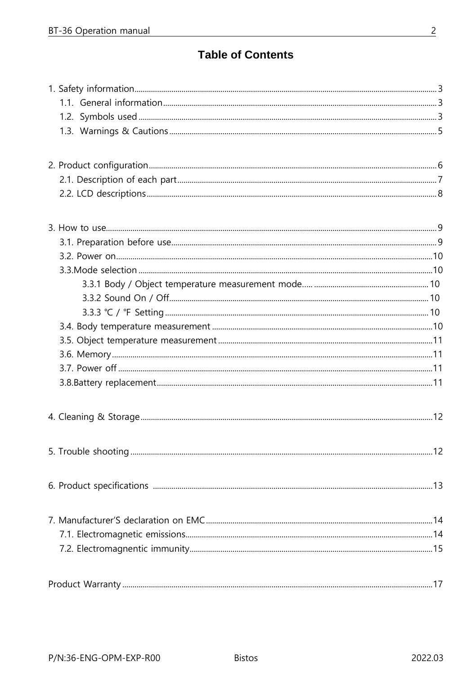## **Table of Contents**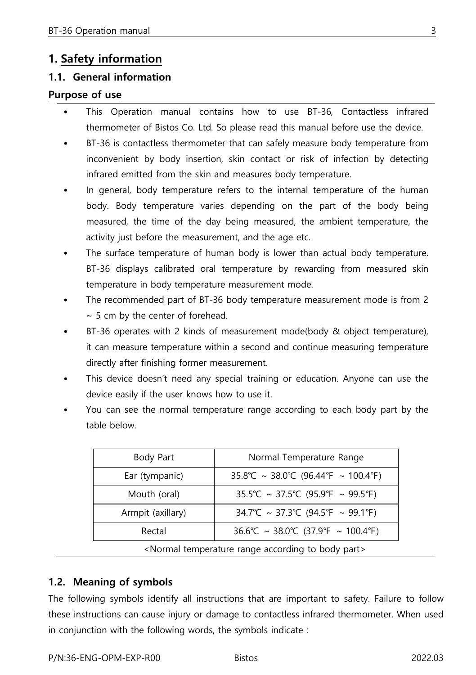## **1. Safety information**

#### **1.1. General information**

#### **Purpose of use**

- This Operation manual contains how to use BT-36, Contactless infrared thermometer of Bistos Co. Ltd. So please read this manual before use the device.
- BT-36 is contactless thermometer that can safely measure body temperature from inconvenient by body insertion, skin contact or risk of infection by detecting infrared emitted from the skin and measures body temperature.
- In general, body temperature refers to the internal temperature of the human body. Body temperature varies depending on the part of the body being measured, the time of the day being measured, the ambient temperature, the activity just before the measurement, and the age etc.
- The surface temperature of human body is lower than actual body temperature. BT-36 displays calibrated oral temperature by rewarding from measured skin temperature in body temperature measurement mode.
- The recommended part of BT-36 body temperature measurement mode is from 2  $~\sim$  5 cm by the center of forehead.
- BT-36 operates with 2 kinds of measurement mode(body & object temperature), it can measure temperature within a second and continue measuring temperature directly after finishing former measurement.
- This device doesn't need any special training or education. Anyone can use the device easily if the user knows how to use it.
- You can see the normal temperature range according to each body part by the table below.

| Body Part                                         | Normal Temperature Range            |
|---------------------------------------------------|-------------------------------------|
| Ear (tympanic)                                    | 35.8°C ~ 38.0°C (96.44°F ~ 100.4°F) |
| Mouth (oral)                                      | 35.5°C ~ 37.5°C (95.9°F ~ 99.5°F)   |
| Armpit (axillary)                                 | 34.7°C ~ 37.3°C (94.5°F ~ 99.1°F)   |
| Rectal                                            | 36.6°C ~ 38.0°C (37.9°F ~ 100.4°F)  |
| Alormal temperature range according to body parts |                                     |

<Normal temperature range according to body part>

## **1.2. Meaning of symbols**

The following symbols identify all instructions that are important to safety. Failure to follow these instructions can cause injury or damage to contactless infrared thermometer. When used in conjunction with the following words, the symbols indicate :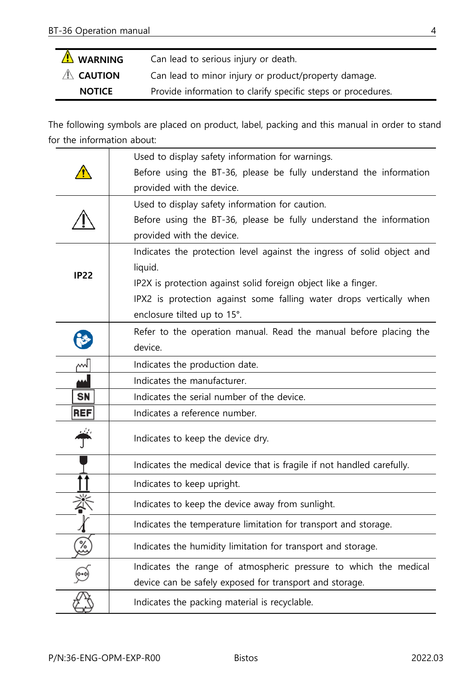| A WARNING           | Can lead to serious injury or death.                         |
|---------------------|--------------------------------------------------------------|
| $\mathbb A$ caution | Can lead to minor injury or product/property damage.         |
| <b>NOTICE</b>       | Provide information to clarify specific steps or procedures. |

The following symbols are placed on product, label, packing and this manual in order to stand for the information about:

|             | Used to display safety information for warnings.                       |
|-------------|------------------------------------------------------------------------|
|             | Before using the BT-36, please be fully understand the information     |
|             | provided with the device.                                              |
|             | Used to display safety information for caution.                        |
|             | Before using the BT-36, please be fully understand the information     |
|             | provided with the device.                                              |
|             | Indicates the protection level against the ingress of solid object and |
| <b>IP22</b> | liquid.                                                                |
|             | IP2X is protection against solid foreign object like a finger.         |
|             | IPX2 is protection against some falling water drops vertically when    |
|             | enclosure tilted up to 15°.                                            |
|             | Refer to the operation manual. Read the manual before placing the      |
|             | device.                                                                |
| ml          | Indicates the production date.                                         |
|             | Indicates the manufacturer.                                            |
| SN          | Indicates the serial number of the device.                             |
| <b>REF</b>  | Indicates a reference number.                                          |
|             | Indicates to keep the device dry.                                      |
|             | Indicates the medical device that is fragile if not handled carefully. |
|             | Indicates to keep upright.                                             |
|             | Indicates to keep the device away from sunlight.                       |
|             | Indicates the temperature limitation for transport and storage.        |
| ر<br>ئ      | Indicates the humidity limitation for transport and storage.           |
|             | Indicates the range of atmospheric pressure to which the medical       |
|             | device can be safely exposed for transport and storage.                |
|             | Indicates the packing material is recyclable.                          |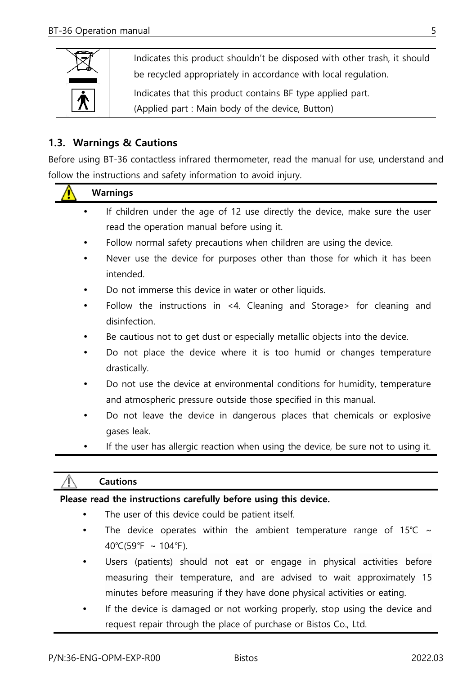| Indicates this product shouldn't be disposed with other trash, it should<br>be recycled appropriately in accordance with local regulation. |                                                                                                                |  |
|--------------------------------------------------------------------------------------------------------------------------------------------|----------------------------------------------------------------------------------------------------------------|--|
| $\bm{\dot{\pi}}$                                                                                                                           | Indicates that this product contains BF type applied part.<br>(Applied part : Main body of the device, Button) |  |

#### **1.3. Warnings & Cautions**

Before using BT-36 contactless infrared thermometer, read the manual for use, understand and follow the instructions and safety information to avoid injury.

|   | <b>Warnings</b>                                                                                                                                 |
|---|-------------------------------------------------------------------------------------------------------------------------------------------------|
|   | If children under the age of 12 use directly the device, make sure the user                                                                     |
|   | read the operation manual before using it.                                                                                                      |
| ٠ | Follow normal safety precautions when children are using the device.                                                                            |
| ٠ | Never use the device for purposes other than those for which it has been<br>intended.                                                           |
|   | Do not immerse this device in water or other liquids.                                                                                           |
|   | Follow the instructions in <4. Cleaning and Storage> for cleaning and<br>disinfection.                                                          |
|   | Be cautious not to get dust or especially metallic objects into the device.                                                                     |
|   | Do not place the device where it is too humid or changes temperature<br>drastically.                                                            |
|   | Do not use the device at environmental conditions for humidity, temperature<br>and atmospheric pressure outside those specified in this manual. |
| ٠ | Do not leave the device in dangerous places that chemicals or explosive<br>gases leak.                                                          |
|   | If the user has allergic reaction when using the device, be sure not to using it.                                                               |
|   |                                                                                                                                                 |
|   | <b>Cautions</b>                                                                                                                                 |
|   | Please read the instructions carefully before using this device.                                                                                |
|   | The user of this device could be patient itself.                                                                                                |
|   | The device operates within the ambient temperature range of $15\degree$                                                                         |

- The device operates within the ambient temperature range of 15℃ 40°C(59°F ~ 104°F).
- Users (patients) should not eat or engage in physical activities before measuring their temperature, and are advised to wait approximately 15 minutes before measuring if they have done physical activities or eating.
- If the device is damaged or not working properly, stop using the device and request repair through the place of purchase or Bistos Co., Ltd.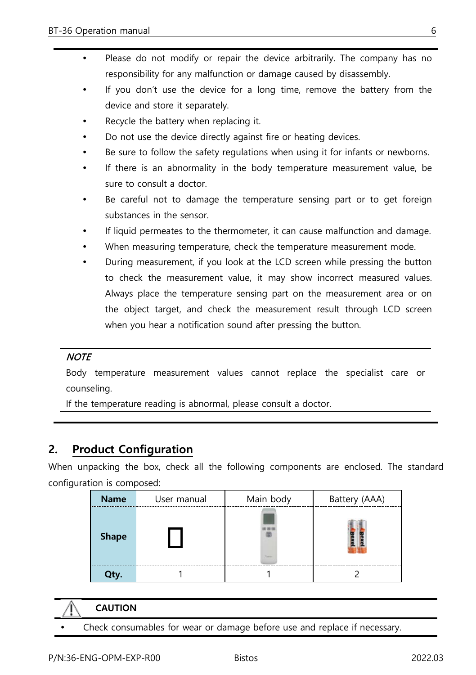- Please do not modify or repair the device arbitrarily. The company has no responsibility for any malfunction or damage caused by disassembly.
- If you don't use the device for a long time, remove the battery from the device and store it separately.
- Recycle the battery when replacing it.
- Do not use the device directly against fire or heating devices.
- Be sure to follow the safety regulations when using it for infants or newborns.
- If there is an abnormality in the body temperature measurement value, be sure to consult a doctor.
- Be careful not to damage the temperature sensing part or to get foreign substances in the sensor.
- If liquid permeates to the thermometer, it can cause malfunction and damage.
- When measuring temperature, check the temperature measurement mode.
- During measurement, if you look at the LCD screen while pressing the button to check the measurement value, it may show incorrect measured values. Always place the temperature sensing part on the measurement area or on the object target, and check the measurement result through LCD screen when you hear a notification sound after pressing the button.

#### **NOTE**

Body temperature measurement values cannot replace the specialist care or counseling.

If the temperature reading is abnormal, please consult a doctor.

## **2. Product Configuration**

When unpacking the box, check all the following components are enclosed. The standard configuration is composed:

| Name         | User manual | Main body | Battery (AAA) |
|--------------|-------------|-----------|---------------|
| <b>Shape</b> |             |           |               |
|              |             |           |               |

- **CAUTION**
	- Check consumables for wear or damage before use and replace if necessary.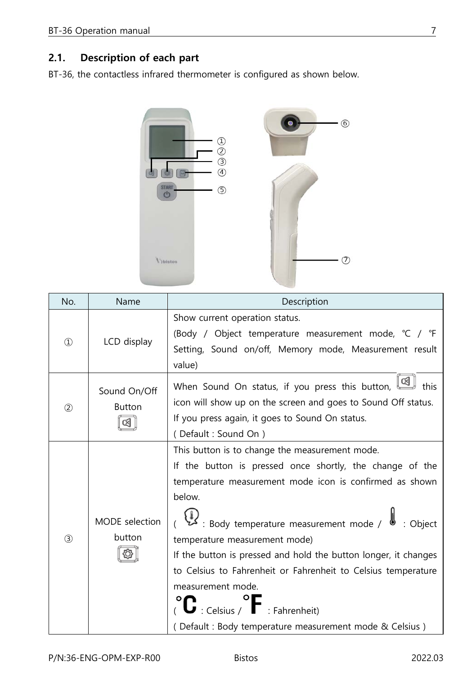## **2.1. Description of each part**

BT-36, the contactless infrared thermometer is configured as shown below.



| No.           | Name                          | Description                                                                                                                                                                                                                                                                                                                                                                                                                                                                                                                                   |
|---------------|-------------------------------|-----------------------------------------------------------------------------------------------------------------------------------------------------------------------------------------------------------------------------------------------------------------------------------------------------------------------------------------------------------------------------------------------------------------------------------------------------------------------------------------------------------------------------------------------|
| $\circled{1}$ | LCD display                   | Show current operation status.<br>(Body / Object temperature measurement mode, °C / °F<br>Setting, Sound on/off, Memory mode, Measurement result<br>value)                                                                                                                                                                                                                                                                                                                                                                                    |
| (2)           | Sound On/Off<br><b>Button</b> | When Sound On status, if you press this button, $\boxed{\textcircled{\small 4}}$ this<br>icon will show up on the screen and goes to Sound Off status.<br>If you press again, it goes to Sound On status.<br>(Default: Sound On)                                                                                                                                                                                                                                                                                                              |
| (3)           | MODE selection<br>button      | This button is to change the measurement mode.<br>If the button is pressed once shortly, the change of the<br>temperature measurement mode icon is confirmed as shown<br>below.<br>و )<br>Body temperature measurement mode / : کم<br>temperature measurement mode)<br>If the button is pressed and hold the button longer, it changes<br>to Celsius to Fahrenheit or Fahrenheit to Celsius temperature<br>measurement mode.<br>$\mathbf{C}$ : Celsius / $\mathbf{F}$ : Fahrenheit)<br>(Default: Body temperature measurement mode & Celsius) |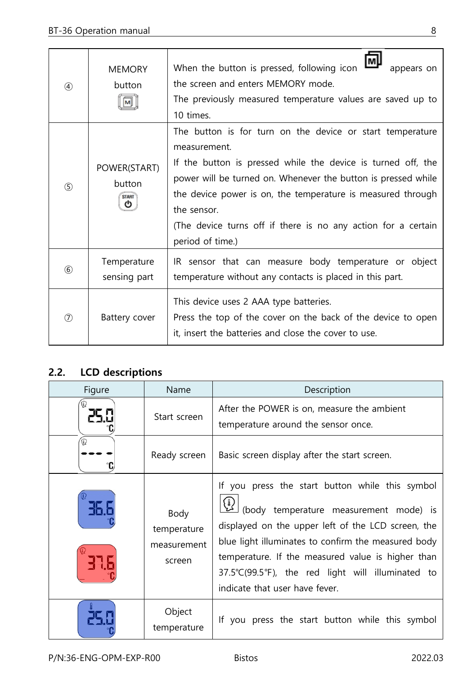| $\circled{4}$               | <b>MEMORY</b><br>button                     | When the button is pressed, following icon<br>appears on<br>the screen and enters MEMORY mode.<br>The previously measured temperature values are saved up to<br>10 times.                                                                                                                                                                                                     |
|-----------------------------|---------------------------------------------|-------------------------------------------------------------------------------------------------------------------------------------------------------------------------------------------------------------------------------------------------------------------------------------------------------------------------------------------------------------------------------|
| (5)                         | POWER(START)<br>button<br><b>START</b><br>ጣ | The button is for turn on the device or start temperature<br>measurement.<br>If the button is pressed while the device is turned off, the<br>power will be turned on. Whenever the button is pressed while<br>the device power is on, the temperature is measured through<br>the sensor.<br>(The device turns off if there is no any action for a certain<br>period of time.) |
| $\circledast$               | Temperature<br>sensing part                 | IR sensor that can measure body temperature or object<br>temperature without any contacts is placed in this part.                                                                                                                                                                                                                                                             |
| $\left( \mathcal{T}\right)$ | Battery cover                               | This device uses 2 AAA type batteries.<br>Press the top of the cover on the back of the device to open<br>it, insert the batteries and close the cover to use.                                                                                                                                                                                                                |

## **2.2. LCD descriptions**

| Figure | Name                                         | Description                                                                                                                                                                                                                                                                                                                                        |
|--------|----------------------------------------------|----------------------------------------------------------------------------------------------------------------------------------------------------------------------------------------------------------------------------------------------------------------------------------------------------------------------------------------------------|
|        | Start screen                                 | After the POWER is on, measure the ambient<br>temperature around the sensor once.                                                                                                                                                                                                                                                                  |
| ⋒      | Ready screen                                 | Basic screen display after the start screen.                                                                                                                                                                                                                                                                                                       |
|        | Body<br>temperature<br>measurement<br>screen | If you press the start button while this symbol<br>(body temperature measurement mode) is<br>displayed on the upper left of the LCD screen, the<br>blue light illuminates to confirm the measured body<br>temperature. If the measured value is higher than<br>37.5°C(99.5°F), the red light will illuminated to<br>indicate that user have fever. |
|        | Object<br>temperature                        | If you press the start button while this symbol                                                                                                                                                                                                                                                                                                    |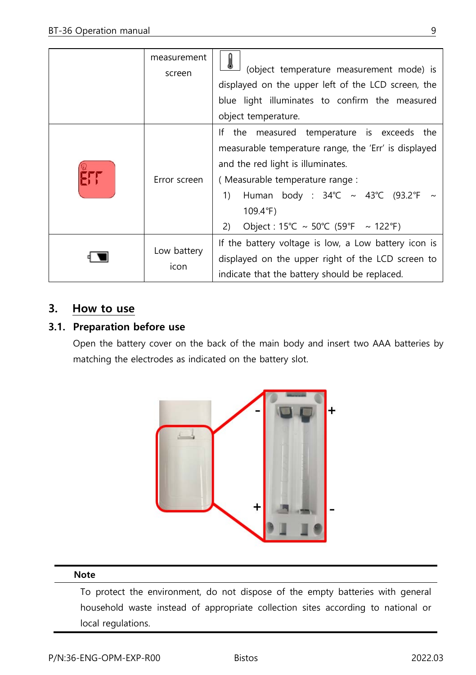| measurement<br>screen | (object temperature measurement mode) is<br>displayed on the upper left of the LCD screen, the<br>blue light illuminates to confirm the measured<br>object temperature.                                                                                                                                                       |
|-----------------------|-------------------------------------------------------------------------------------------------------------------------------------------------------------------------------------------------------------------------------------------------------------------------------------------------------------------------------|
| Error screen          | If the measured temperature is exceeds the<br>measurable temperature range, the 'Err' is displayed<br>and the red light is illuminates.<br>(Measurable temperature range :<br>Human body : $34^{\circ}$ C ~ $43^{\circ}$ C (93.2°F ~<br>1)<br>$109.4^{\circ}F$<br>Object: $15^{\circ}C \sim 50^{\circ}C$ (59°F ~ 122°F)<br>2) |
| Low battery<br>icon   | If the battery voltage is low, a Low battery icon is<br>displayed on the upper right of the LCD screen to<br>indicate that the battery should be replaced.                                                                                                                                                                    |

## **3. How to use**

#### **3.1. Preparation before use**

Open the battery cover on the back of the main body and insert two AAA batteries by matching the electrodes as indicated on the battery slot.



#### **Note**

To protect the environment, do not dispose of the empty batteries with general household waste instead of appropriate collection sites according to national or local regulations.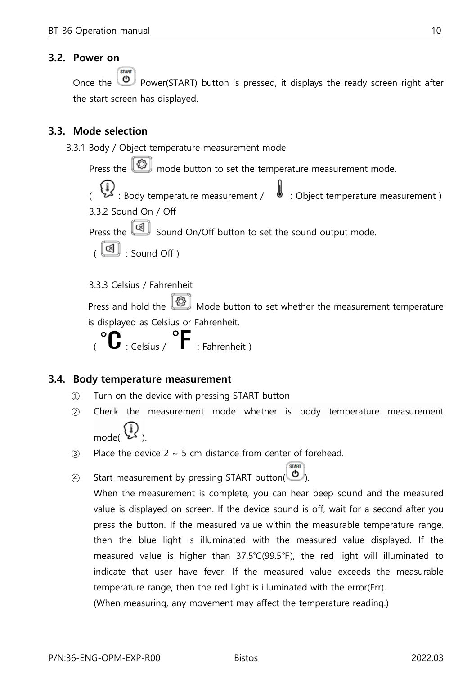#### <span id="page-10-0"></span>**3.2. Power on**

Once the  $\overline{\bigcirc}$  Power(START) button is pressed, it displays the ready screen right after the start screen has displayed.

#### <span id="page-10-1"></span>**3.3. Mode selection**

<span id="page-10-2"></span>3.3.1 Body / Object temperature measurement mode Press the  $\boxed{\textcircled{\mathbb{Q}}}$  mode button to set the temperature measurement mode. ( : Body temperature measurement / : Object temperature measurement ) 3.3.2 Sound On / Off Press the  $\boxed{\textcircled{4}}$  Sound On/Off button to set the sound output mode.  $\begin{pmatrix} \boxed{6} \\ \boxed{10} \end{pmatrix}$  : Sound Off ) 3.3.3 Celsius / Fahrenheit Press and hold the  $\Box$  Mode button to set whether the measurement temperature

<span id="page-10-3"></span>is displayed as Celsius or Fahrenheit.

 $\int_{\alpha}^{\infty} \mathbf{C} \cdot \text{Celsius}$  /  $\int_{\alpha}^{\infty} \mathbf{F} \cdot \text{Eahrenheit}$ 

#### **3.4. Body temperature measurement**

- ① Turn on the device with pressing START button
- ② Check the measurement mode whether is body temperature measurement  $\mathcal{L}_{\mathcal{L}}$
- $\Omega$  Place the device 2 ~ 5 cm distance from center of forehead.
- ④ Start measurement by pressing START button( ).

When the measurement is complete, you can hear beep sound and the measured value is displayed on screen. If the device sound is off, wait for a second after you press the button. If the measured value within the measurable temperature range, then the blue light is illuminated with the measured value displayed. If the measured value is higher than 37.5℃(99.5℉), the red light will illuminated to indicate that user have fever. If the measured value exceeds the measurable temperature range, then the red light is illuminated with the error(Err). (When measuring, any movement may affect the temperature reading.)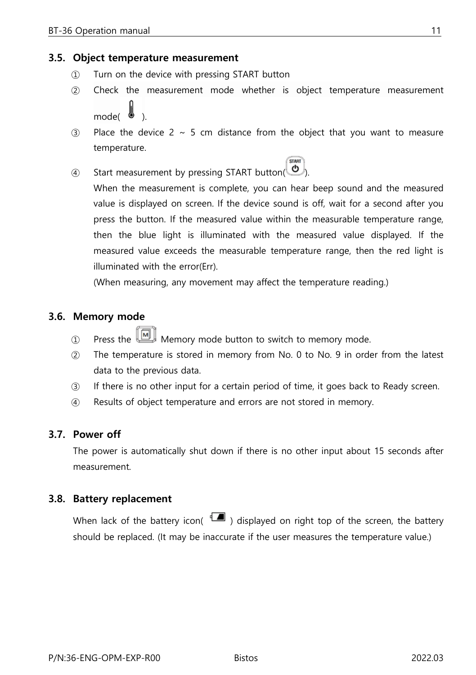#### **3.5. Object temperature measurement**

- ① Turn on the device with pressing START button
- ② Check the measurement mode whether is object temperature measurement mode( ).
- $\Omega$  Place the device 2 ~ 5 cm distance from the object that you want to measure temperature.

**STAR** 

④ Start measurement by pressing START button( ).

When the measurement is complete, you can hear beep sound and the measured value is displayed on screen. If the device sound is off, wait for a second after you press the button. If the measured value within the measurable temperature range, then the blue light is illuminated with the measured value displayed. If the measured value exceeds the measurable temperature range, then the red light is illuminated with the error(Err).

(When measuring, any movement may affect the temperature reading.)

#### **3.6. Memory mode**

- $\textcircled{1}$  Press the  $\blacksquare$  Memory mode button to switch to memory mode.
- ② The temperature is stored in memory from No. 0 to No. 9 in order from the latest data to the previous data.
- ③ If there is no other input for a certain period of time, it goes back to Ready screen.
- ④ Results of object temperature and errors are not stored in memory.

#### **3.7. Power off**

The power is automatically shut down if there is no other input about 15 seconds after measurement.

#### **3.8. Battery replacement**

When lack of the battery icon( $\Box$ ) displayed on right top of the screen, the battery should be replaced. (It may be inaccurate if the user measures the temperature value.)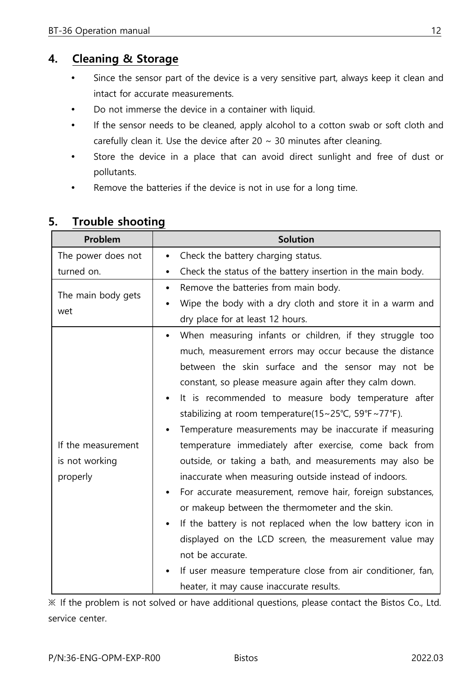## **4. Cleaning & Storage**

- Since the sensor part of the device is a very sensitive part, always keep it clean and intact for accurate measurements.
- Do not immerse the device in a container with liquid.
- If the sensor needs to be cleaned, apply alcohol to a cotton swab or soft cloth and carefully clean it. Use the device after 20  $\sim$  30 minutes after cleaning.
- Store the device in a place that can avoid direct sunlight and free of dust or pollutants.
- Remove the batteries if the device is not in use for a long time.

| Problem            | <b>Solution</b>                                                                            |
|--------------------|--------------------------------------------------------------------------------------------|
| The power does not | Check the battery charging status.<br>٠                                                    |
| turned on.         | Check the status of the battery insertion in the main body.                                |
| The main body gets | Remove the batteries from main body.<br>٠                                                  |
| wet                | Wipe the body with a dry cloth and store it in a warm and                                  |
|                    | dry place for at least 12 hours.                                                           |
|                    | When measuring infants or children, if they struggle too                                   |
|                    | much, measurement errors may occur because the distance                                    |
|                    | between the skin surface and the sensor may not be                                         |
|                    | constant, so please measure again after they calm down.                                    |
|                    | It is recommended to measure body temperature after                                        |
|                    | stabilizing at room temperature( $15 \sim 25^{\circ}$ C, $59^{\circ}F \sim 77^{\circ}F$ ). |
|                    | Temperature measurements may be inaccurate if measuring                                    |
| If the measurement | temperature immediately after exercise, come back from                                     |
| is not working     | outside, or taking a bath, and measurements may also be                                    |
| properly           | inaccurate when measuring outside instead of indoors.                                      |
|                    | For accurate measurement, remove hair, foreign substances,<br>$\bullet$                    |
|                    | or makeup between the thermometer and the skin.                                            |
|                    | If the battery is not replaced when the low battery icon in<br>٠                           |
|                    | displayed on the LCD screen, the measurement value may                                     |
|                    | not be accurate.                                                                           |
|                    | If user measure temperature close from air conditioner, fan,                               |
|                    | heater, it may cause inaccurate results.                                                   |

## **5. Trouble shooting**

※ If the problem is not solved or have additional questions, please contact the Bistos Co., Ltd. service center.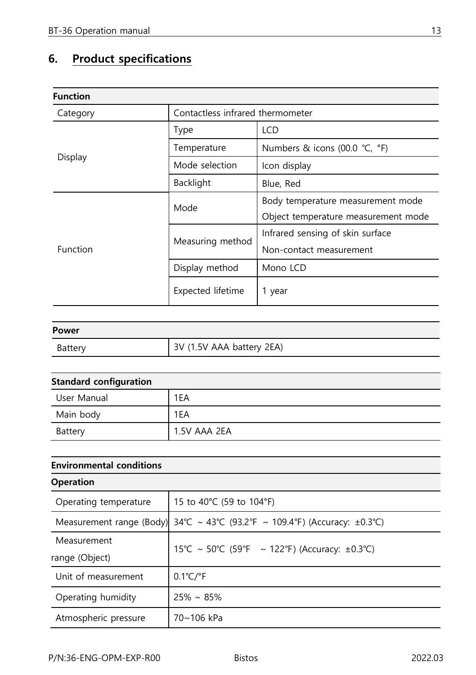## **6. Product specifications**

| <b>Function</b> |                                  |                                     |  |
|-----------------|----------------------------------|-------------------------------------|--|
| Category        | Contactless infrared thermometer |                                     |  |
|                 | <b>Type</b>                      | <b>LCD</b>                          |  |
|                 | Temperature                      | Numbers & icons (00.0 ℃, °F)        |  |
| Display         | Mode selection                   | Icon display                        |  |
|                 | Backlight                        | Blue, Red                           |  |
|                 | Mode                             | Body temperature measurement mode   |  |
|                 |                                  | Object temperature measurement mode |  |
| Function        | Measuring method                 | Infrared sensing of skin surface    |  |
|                 |                                  | Non-contact measurement             |  |
|                 | Display method                   | Mono LCD                            |  |
|                 | Expected lifetime                | 1 year                              |  |

| Power   |                           |
|---------|---------------------------|
| Battery | 3V (1.5V AAA battery 2EA) |

| <b>Standard configuration</b> |              |
|-------------------------------|--------------|
| User Manual                   | 1EA          |
| Main body                     | 1EA          |
| Battery                       | 1.5V AAA 2EA |

| <b>Environmental conditions</b> |                                                   |  |
|---------------------------------|---------------------------------------------------|--|
| <b>Operation</b>                |                                                   |  |
| Operating temperature           | 15 to 40°C (59 to 104°F)                          |  |
| Measurement range (Body)        | 34°C ~ 43°C (93.2°F ~ 109.4°F) (Accuracy: ±0.3°C) |  |
| Measurement                     | 15°C ~ 50°C (59°F ~ 122°F) (Accuracy: ±0.3°C)     |  |
| range (Object)                  |                                                   |  |
| Unit of measurement             | $0.1^{\circ}$ C/ $\circ$ F                        |  |
| Operating humidity              | $25\% \sim 85\%$                                  |  |
| Atmospheric pressure            | 70~106 kPa                                        |  |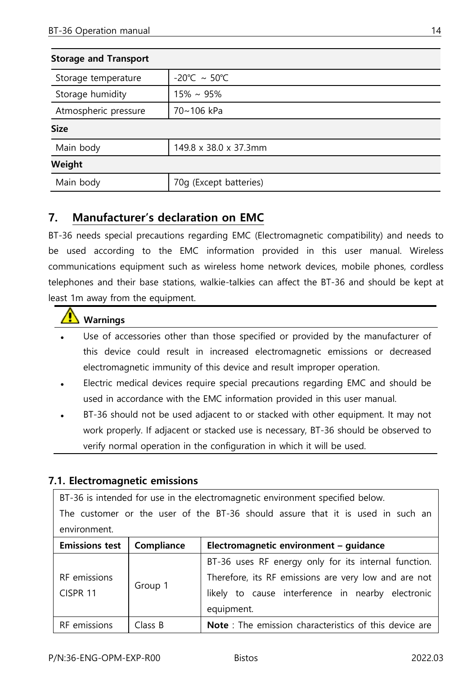| <b>Storage and Transport</b> |                                   |
|------------------------------|-----------------------------------|
| Storage temperature          | $-20^{\circ}$ C ~ 50 $^{\circ}$ C |
| Storage humidity             | $15\% \sim 95\%$                  |
| Atmospheric pressure         | 70~106 kPa                        |
| <b>Size</b>                  |                                   |
| Main body                    | 149.8 x 38.0 x 37.3mm             |
| Weight                       |                                   |
| Main body                    | 70g (Except batteries)            |

## **7. Manufacturer's declaration on EMC**

BT-36 needs special precautions regarding EMC (Electromagnetic compatibility) and needs to be used according to the EMC information provided in this user manual. Wireless communications equipment such as wireless home network devices, mobile phones, cordless telephones and their base stations, walkie-talkies can affect the BT-36 and should be kept at least 1m away from the equipment.

### **Warnings**

- Use of accessories other than those specified or provided by the manufacturer of this device could result in increased electromagnetic emissions or decreased electromagnetic immunity of this device and result improper operation.
- Electric medical devices require special precautions regarding EMC and should be used in accordance with the EMC information provided in this user manual.
- BT-36 should not be used adjacent to or stacked with other equipment. It may not work properly. If adjacent or stacked use is necessary, BT-36 should be observed to verify normal operation in the configuration in which it will be used.

#### <span id="page-14-0"></span>**7.1. Electromagnetic emissions**

BT-36 is intended for use in the electromagnetic environment specified below.

The customer or the user of the BT-36 should assure that it is used in such an environment.

| Emissions test   Compliance |         | Electromagnetic environment - guidance                                                                                                                                          |
|-----------------------------|---------|---------------------------------------------------------------------------------------------------------------------------------------------------------------------------------|
| RF emissions<br>CISPR 11    | Group 1 | BT-36 uses RF energy only for its internal function.<br>Therefore, its RF emissions are very low and are not<br>likely to cause interference in nearby electronic<br>equipment. |
| RF emissions                | Class B | Note : The emission characteristics of this device are                                                                                                                          |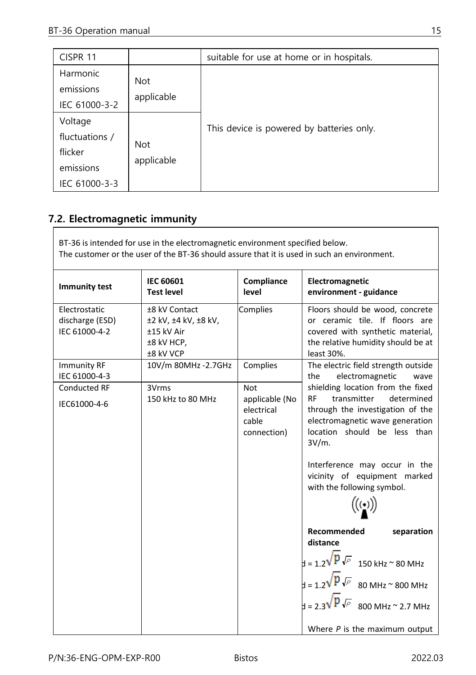| CISPR <sub>11</sub>                                                |                          | suitable for use at home or in hospitals. |
|--------------------------------------------------------------------|--------------------------|-------------------------------------------|
| Harmonic<br>emissions<br>IEC 61000-3-2                             | <b>Not</b><br>applicable |                                           |
| Voltage<br>fluctuations /<br>flicker<br>emissions<br>IEC 61000-3-3 | <b>Not</b><br>applicable | This device is powered by batteries only. |

### <span id="page-15-0"></span>**7.2. Electromagnetic immunity**

BT-36 is intended for use in the electromagnetic environment specified below. The customer or the user of the BT-36 should assure that it is used in such an environment.

| <b>Immunity test</b>                              | <b>IEC 60601</b><br><b>Test level</b>                                          | Compliance<br>level                                                | Electromagnetic<br>environment - guidance                                                                                                                                                      |
|---------------------------------------------------|--------------------------------------------------------------------------------|--------------------------------------------------------------------|------------------------------------------------------------------------------------------------------------------------------------------------------------------------------------------------|
| Electrostatic<br>discharge (ESD)<br>IEC 61000-4-2 | ±8 kV Contact<br>±2 kV, ±4 kV, ±8 kV,<br>±15 kV Air<br>±8 kV HCP.<br>±8 kV VCP | Complies                                                           | Floors should be wood, concrete<br>or ceramic tile. If floors are<br>covered with synthetic material,<br>the relative humidity should be at<br>least 30%.                                      |
| <b>Immunity RF</b><br>IEC 61000-4-3               | 10V/m 80MHz - 2.7GHz                                                           | Complies                                                           | The electric field strength outside<br>electromagnetic<br>the<br>wave                                                                                                                          |
| <b>Conducted RF</b><br>IEC61000-4-6               | 3Vrms<br>150 kHz to 80 MHz                                                     | <b>Not</b><br>applicable (No<br>electrical<br>cable<br>connection) | shielding location from the fixed<br><b>RF</b><br>transmitter<br>determined<br>through the investigation of the<br>electromagnetic wave generation<br>location should be less than<br>$3V/m$ . |
|                                                   |                                                                                |                                                                    | Interference may occur in the<br>vicinity of equipment marked<br>with the following symbol.                                                                                                    |
|                                                   |                                                                                |                                                                    | Recommended<br>separation<br>distance                                                                                                                                                          |
|                                                   |                                                                                |                                                                    | $d = 1.2 \sqrt{P \sqrt{P}}$ 150 kHz ~ 80 MHz                                                                                                                                                   |
|                                                   |                                                                                |                                                                    | $\frac{1}{2}$ = 1.2 $\sqrt{p}$ $\sqrt{p}$ 80 MHz ~ 800 MHz                                                                                                                                     |
|                                                   |                                                                                |                                                                    | $\frac{1}{2}$ = 2.3 $\sqrt{p}$ $\sqrt{p}$ 800 MHz ~ 2.7 MHz                                                                                                                                    |
|                                                   |                                                                                |                                                                    | Where $P$ is the maximum output                                                                                                                                                                |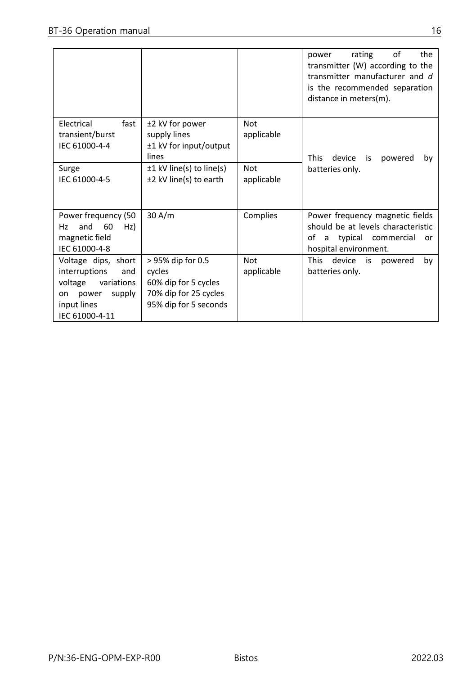|                                                                                                                                |                                                                                                       |                          | of<br>the<br>rating<br>power<br>transmitter (W) according to the<br>transmitter manufacturer and d<br>is the recommended separation<br>distance in meters(m). |
|--------------------------------------------------------------------------------------------------------------------------------|-------------------------------------------------------------------------------------------------------|--------------------------|---------------------------------------------------------------------------------------------------------------------------------------------------------------|
| Electrical<br>fast<br>transient/burst<br>IEC 61000-4-4                                                                         | ±2 kV for power<br>supply lines<br>±1 kV for input/output<br>lines                                    | <b>Not</b><br>applicable | <b>This</b><br>device<br>powered<br>is<br>by                                                                                                                  |
| Surge<br>IEC 61000-4-5                                                                                                         | $\pm 1$ kV line(s) to line(s)<br>±2 kV line(s) to earth                                               | <b>Not</b><br>applicable | batteries only.                                                                                                                                               |
| Power frequency (50<br>60<br>Hz)<br>and<br>Hz<br>magnetic field<br>IEC 61000-4-8                                               | 30 A/m                                                                                                | Complies                 | Power frequency magnetic fields<br>should be at levels characteristic<br>typical commercial<br>of<br>a<br>or<br>hospital environment.                         |
| Voltage dips, short<br>interruptions<br>and<br>voltage<br>variations<br>power<br>supply<br>on<br>input lines<br>IEC 61000-4-11 | > 95% dip for 0.5<br>cycles<br>60% dip for 5 cycles<br>70% dip for 25 cycles<br>95% dip for 5 seconds | <b>Not</b><br>applicable | This<br>device<br>is<br>powered<br>by<br>batteries only.                                                                                                      |